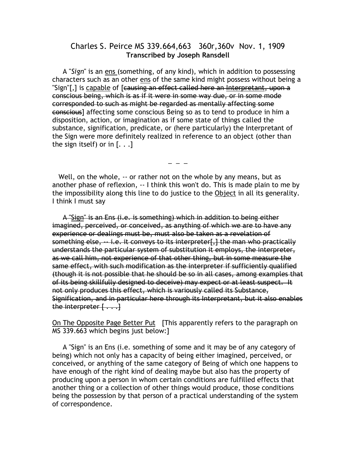## Charles S. Peirce MS 339.664,663 360r,360v Nov. 1, 1909 Transcribed by Joseph Ransdell

 A "Sign" is an ens (something, of any kind), which in addition to possessing characters such as an other ens of the same kind might possess without being a "Sign"[,] is capable of [causing an effect called here an Interpretant, upon a conscious being, which is as if it were in some way due, or in some mode corresponded to such as might be regarded as mentally affecting some conscious] affecting some conscious Being so as to tend to produce in him a disposition, action, or imagination as if some state of things called the substance, signification, predicate, or (here particularly) the Interpretant of the Sign were more definitely realized in reference to an object (other than the sign itself) or in  $[...]$ 

 $-$ 

 Well, on the whole, -- or rather not on the whole by any means, but as another phase of reflexion, -- I think this won't do. This is made plain to me by the impossibility along this line to do justice to the Object in all its generality. I think I must say

 A "Sign" is an Ens (i.e. is something) which in addition to being either imagined, perceived, or conceived, as anything of which we are to have any experience or dealings must be, must also be taken as a revelation of something else, -- i.e. it conveys to its interpreter[,] the man who practically understands the particular system of substitution it employs, the interpreter, as we call him, not experience of that other thing, but in some measure the same effect, with such modification as the interpreter if sufficiently qualified (though it is not possible that he should be so in all cases, among examples that of its being skillfully designed to deceive) may expect or at least suspect. It not only produces this effect, which is variously called its Substance, Signification, and in particular here through its Interpretant, but it also enables the interpreter  $[\ldots]$ 

On The Opposite Page Better Put [This apparently refers to the paragraph on MS 339.663 which begins just below:]

 A "Sign" is an Ens (i.e. something of some and it may be of any category of being) which not only has a capacity of being either imagined, perceived, or conceived, or anything of the same category of Being of which one happens to have enough of the right kind of dealing maybe but also has the property of producing upon a person in whom certain conditions are fulfilled effects that another thing or a collection of other things would produce, those conditions being the possession by that person of a practical understanding of the system of correspondence.